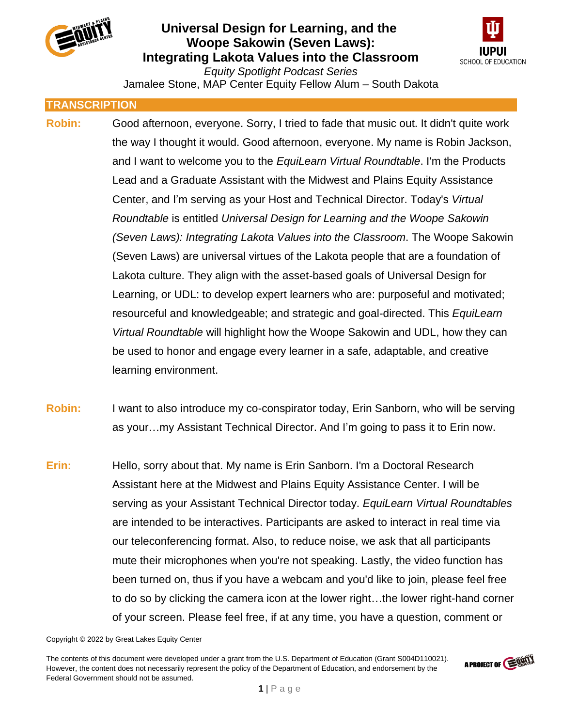



Jamalee Stone, MAP Center Equity Fellow Alum – South Dakota

### **TRANSCRIPTION**

- **Robin:** Good afternoon, everyone. Sorry, I tried to fade that music out. It didn't quite work the way I thought it would. Good afternoon, everyone. My name is Robin Jackson, and I want to welcome you to the *EquiLearn Virtual Roundtable*. I'm the Products Lead and a Graduate Assistant with the Midwest and Plains Equity Assistance Center, and I'm serving as your Host and Technical Director. Today's *Virtual Roundtable* is entitled *Universal Design for Learning and the Woope Sakowin (Seven Laws): Integrating Lakota Values into the Classroom*. The Woope Sakowin (Seven Laws) are universal virtues of the Lakota people that are a foundation of Lakota culture. They align with the asset-based goals of Universal Design for Learning, or UDL: to develop expert learners who are: purposeful and motivated; resourceful and knowledgeable; and strategic and goal-directed. This *EquiLearn Virtual Roundtable* will highlight how the Woope Sakowin and UDL, how they can be used to honor and engage every learner in a safe, adaptable, and creative learning environment.
- **Robin:** I want to also introduce my co-conspirator today, Erin Sanborn, who will be serving as your…my Assistant Technical Director. And I'm going to pass it to Erin now.
- **Erin:** Hello, sorry about that. My name is Erin Sanborn. I'm a Doctoral Research Assistant here at the Midwest and Plains Equity Assistance Center. I will be serving as your Assistant Technical Director today. *EquiLearn Virtual Roundtables* are intended to be interactives. Participants are asked to interact in real time via our teleconferencing format. Also, to reduce noise, we ask that all participants mute their microphones when you're not speaking. Lastly, the video function has been turned on, thus if you have a webcam and you'd like to join, please feel free to do so by clicking the camera icon at the lower right…the lower right-hand corner of your screen. Please feel free, if at any time, you have a question, comment or

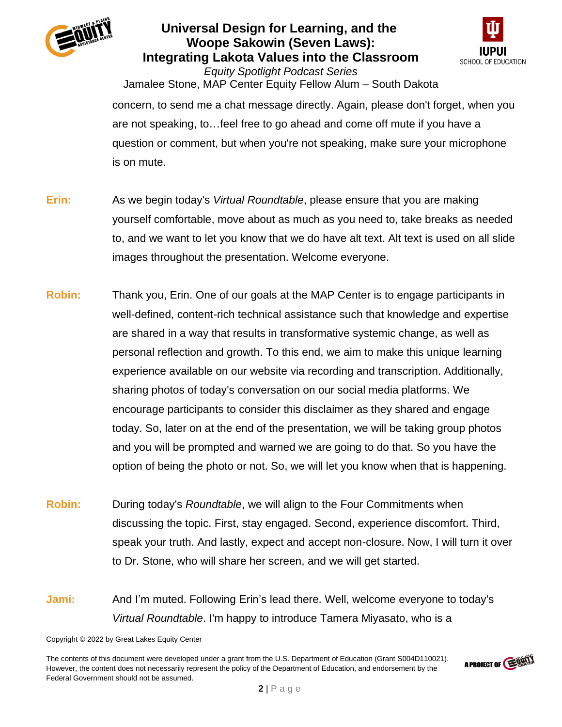



*Equity Spotlight Podcast Series* Jamalee Stone, MAP Center Equity Fellow Alum – South Dakota concern, to send me a chat message directly. Again, please don't forget, when you are not speaking, to…feel free to go ahead and come off mute if you have a question or comment, but when you're not speaking, make sure your microphone is on mute.

- **Erin:** As we begin today's *Virtual Roundtable*, please ensure that you are making yourself comfortable, move about as much as you need to, take breaks as needed to, and we want to let you know that we do have alt text. Alt text is used on all slide images throughout the presentation. Welcome everyone.
- **Robin:** Thank you, Erin. One of our goals at the MAP Center is to engage participants in well-defined, content-rich technical assistance such that knowledge and expertise are shared in a way that results in transformative systemic change, as well as personal reflection and growth. To this end, we aim to make this unique learning experience available on our website via recording and transcription. Additionally, sharing photos of today's conversation on our social media platforms. We encourage participants to consider this disclaimer as they shared and engage today. So, later on at the end of the presentation, we will be taking group photos and you will be prompted and warned we are going to do that. So you have the option of being the photo or not. So, we will let you know when that is happening.
- **Robin:** During today's *Roundtable*, we will align to the Four Commitments when discussing the topic. First, stay engaged. Second, experience discomfort. Third, speak your truth. And lastly, expect and accept non-closure. Now, I will turn it over to Dr. Stone, who will share her screen, and we will get started.
- **Jami:** And I'm muted. Following Erin's lead there. Well, welcome everyone to today's *Virtual Roundtable*. I'm happy to introduce Tamera Miyasato, who is a

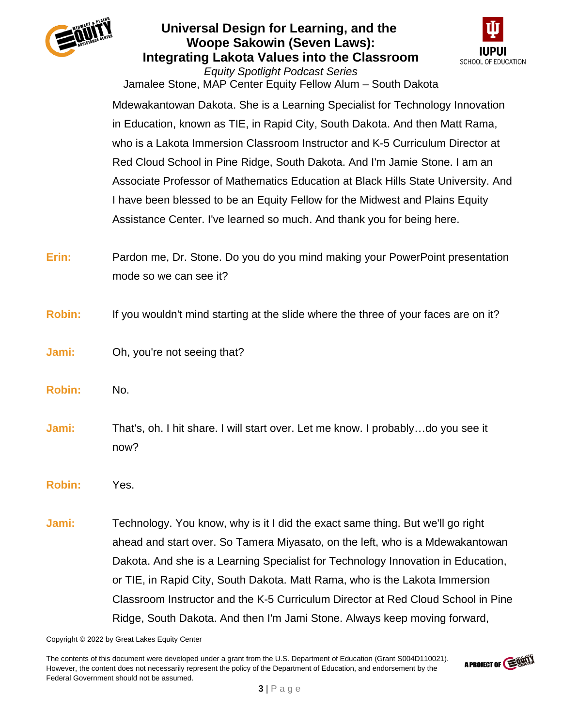



Jamalee Stone, MAP Center Equity Fellow Alum – South Dakota Mdewakantowan Dakota. She is a Learning Specialist for Technology Innovation in Education, known as TIE, in Rapid City, South Dakota. And then Matt Rama, who is a Lakota Immersion Classroom Instructor and K-5 Curriculum Director at Red Cloud School in Pine Ridge, South Dakota. And I'm Jamie Stone. I am an Associate Professor of Mathematics Education at Black Hills State University. And I have been blessed to be an Equity Fellow for the Midwest and Plains Equity Assistance Center. I've learned so much. And thank you for being here.

- **Erin:** Pardon me, Dr. Stone. Do you do you mind making your PowerPoint presentation mode so we can see it?
- **Robin:** If you wouldn't mind starting at the slide where the three of your faces are on it?
- **Jami:** Oh, you're not seeing that?
- **Robin:** No.
- **Jami:** That's, oh. I hit share. I will start over. Let me know. I probably…do you see it now?
- **Robin:** Yes.
- **Jami:** Technology. You know, why is it I did the exact same thing. But we'll go right ahead and start over. So Tamera Miyasato, on the left, who is a Mdewakantowan Dakota. And she is a Learning Specialist for Technology Innovation in Education, or TIE, in Rapid City, South Dakota. Matt Rama, who is the Lakota Immersion Classroom Instructor and the K-5 Curriculum Director at Red Cloud School in Pine Ridge, South Dakota. And then I'm Jami Stone. Always keep moving forward,

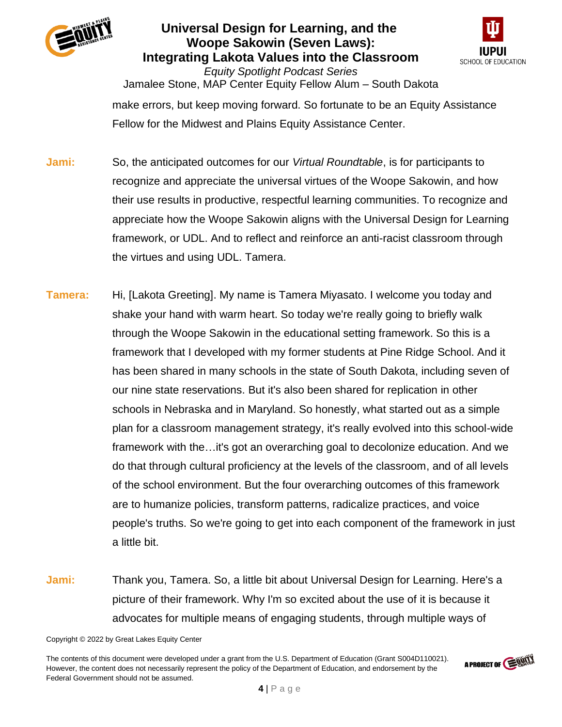



*Equity Spotlight Podcast Series* Jamalee Stone, MAP Center Equity Fellow Alum – South Dakota make errors, but keep moving forward. So fortunate to be an Equity Assistance Fellow for the Midwest and Plains Equity Assistance Center.

- **Jami:** So, the anticipated outcomes for our *Virtual Roundtable*, is for participants to recognize and appreciate the universal virtues of the Woope Sakowin, and how their use results in productive, respectful learning communities. To recognize and appreciate how the Woope Sakowin aligns with the Universal Design for Learning framework, or UDL. And to reflect and reinforce an anti-racist classroom through the virtues and using UDL. Tamera.
- **Tamera:** Hi, [Lakota Greeting]. My name is Tamera Miyasato. I welcome you today and shake your hand with warm heart. So today we're really going to briefly walk through the Woope Sakowin in the educational setting framework. So this is a framework that I developed with my former students at Pine Ridge School. And it has been shared in many schools in the state of South Dakota, including seven of our nine state reservations. But it's also been shared for replication in other schools in Nebraska and in Maryland. So honestly, what started out as a simple plan for a classroom management strategy, it's really evolved into this school-wide framework with the…it's got an overarching goal to decolonize education. And we do that through cultural proficiency at the levels of the classroom, and of all levels of the school environment. But the four overarching outcomes of this framework are to humanize policies, transform patterns, radicalize practices, and voice people's truths. So we're going to get into each component of the framework in just a little bit.
- **Jami:** Thank you, Tamera. So, a little bit about Universal Design for Learning. Here's a picture of their framework. Why I'm so excited about the use of it is because it advocates for multiple means of engaging students, through multiple ways of

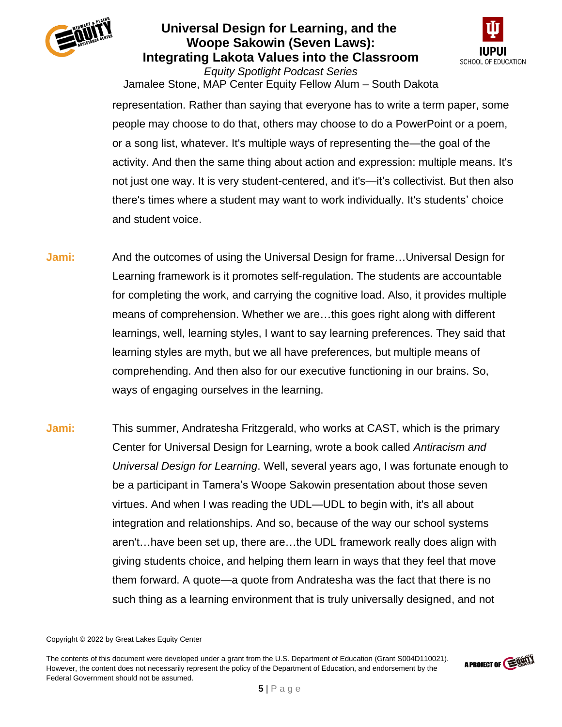



Jamalee Stone, MAP Center Equity Fellow Alum – South Dakota representation. Rather than saying that everyone has to write a term paper, some people may choose to do that, others may choose to do a PowerPoint or a poem, or a song list, whatever. It's multiple ways of representing the—the goal of the activity. And then the same thing about action and expression: multiple means. It's not just one way. It is very student-centered, and it's—it's collectivist. But then also there's times where a student may want to work individually. It's students' choice and student voice.

- **Jami:** And the outcomes of using the Universal Design for frame…Universal Design for Learning framework is it promotes self-regulation. The students are accountable for completing the work, and carrying the cognitive load. Also, it provides multiple means of comprehension. Whether we are…this goes right along with different learnings, well, learning styles, I want to say learning preferences. They said that learning styles are myth, but we all have preferences, but multiple means of comprehending. And then also for our executive functioning in our brains. So, ways of engaging ourselves in the learning.
- **Jami:** This summer, Andratesha Fritzgerald, who works at CAST, which is the primary Center for Universal Design for Learning, wrote a book called *Antiracism and Universal Design for Learning*. Well, several years ago, I was fortunate enough to be a participant in Tamera's Woope Sakowin presentation about those seven virtues. And when I was reading the UDL—UDL to begin with, it's all about integration and relationships. And so, because of the way our school systems aren't…have been set up, there are…the UDL framework really does align with giving students choice, and helping them learn in ways that they feel that move them forward. A quote—a quote from Andratesha was the fact that there is no such thing as a learning environment that is truly universally designed, and not

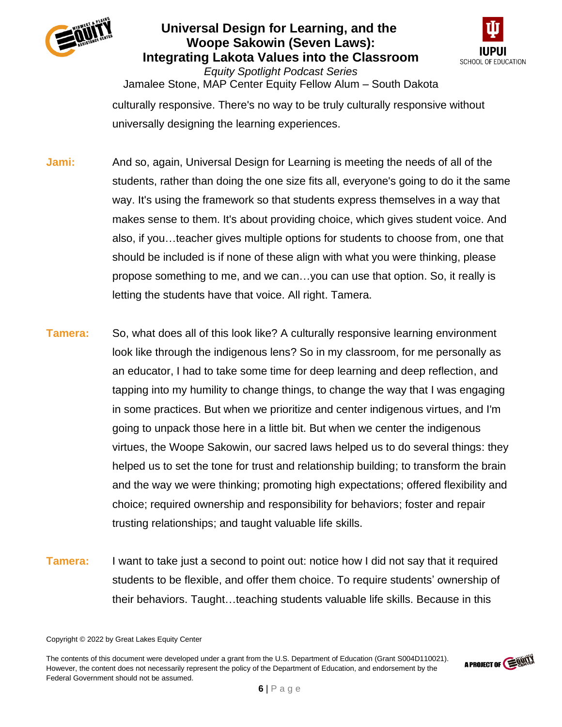



*Equity Spotlight Podcast Series* Jamalee Stone, MAP Center Equity Fellow Alum – South Dakota culturally responsive. There's no way to be truly culturally responsive without universally designing the learning experiences.

- **Jami:** And so, again, Universal Design for Learning is meeting the needs of all of the students, rather than doing the one size fits all, everyone's going to do it the same way. It's using the framework so that students express themselves in a way that makes sense to them. It's about providing choice, which gives student voice. And also, if you…teacher gives multiple options for students to choose from, one that should be included is if none of these align with what you were thinking, please propose something to me, and we can…you can use that option. So, it really is letting the students have that voice. All right. Tamera.
- **Tamera:** So, what does all of this look like? A culturally responsive learning environment look like through the indigenous lens? So in my classroom, for me personally as an educator, I had to take some time for deep learning and deep reflection, and tapping into my humility to change things, to change the way that I was engaging in some practices. But when we prioritize and center indigenous virtues, and I'm going to unpack those here in a little bit. But when we center the indigenous virtues, the Woope Sakowin, our sacred laws helped us to do several things: they helped us to set the tone for trust and relationship building; to transform the brain and the way we were thinking; promoting high expectations; offered flexibility and choice; required ownership and responsibility for behaviors; foster and repair trusting relationships; and taught valuable life skills.
- **Tamera:** I want to take just a second to point out: notice how I did not say that it required students to be flexible, and offer them choice. To require students' ownership of their behaviors. Taught…teaching students valuable life skills. Because in this

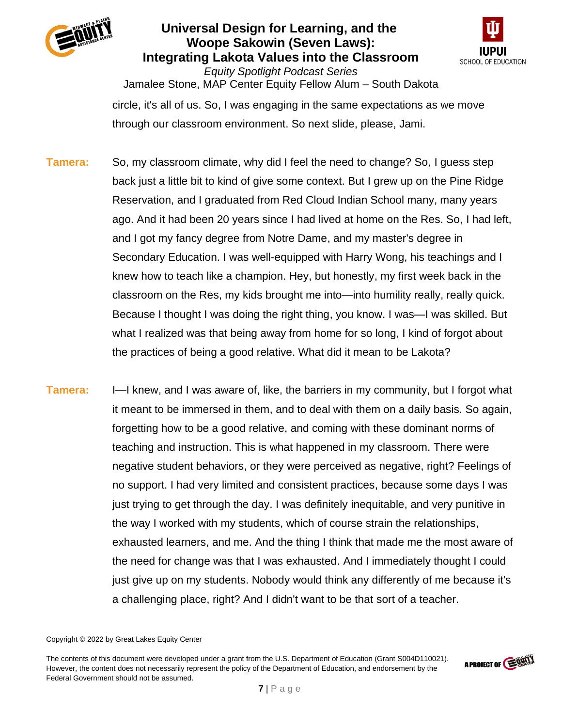



*Equity Spotlight Podcast Series* Jamalee Stone, MAP Center Equity Fellow Alum – South Dakota circle, it's all of us. So, I was engaging in the same expectations as we move through our classroom environment. So next slide, please, Jami.

- **Tamera:** So, my classroom climate, why did I feel the need to change? So, I guess step back just a little bit to kind of give some context. But I grew up on the Pine Ridge Reservation, and I graduated from Red Cloud Indian School many, many years ago. And it had been 20 years since I had lived at home on the Res. So, I had left, and I got my fancy degree from Notre Dame, and my master's degree in Secondary Education. I was well-equipped with Harry Wong, his teachings and I knew how to teach like a champion. Hey, but honestly, my first week back in the classroom on the Res, my kids brought me into—into humility really, really quick. Because I thought I was doing the right thing, you know. I was—I was skilled. But what I realized was that being away from home for so long, I kind of forgot about the practices of being a good relative. What did it mean to be Lakota?
- **Tamera:** I—I knew, and I was aware of, like, the barriers in my community, but I forgot what it meant to be immersed in them, and to deal with them on a daily basis. So again, forgetting how to be a good relative, and coming with these dominant norms of teaching and instruction. This is what happened in my classroom. There were negative student behaviors, or they were perceived as negative, right? Feelings of no support. I had very limited and consistent practices, because some days I was just trying to get through the day. I was definitely inequitable, and very punitive in the way I worked with my students, which of course strain the relationships, exhausted learners, and me. And the thing I think that made me the most aware of the need for change was that I was exhausted. And I immediately thought I could just give up on my students. Nobody would think any differently of me because it's a challenging place, right? And I didn't want to be that sort of a teacher.

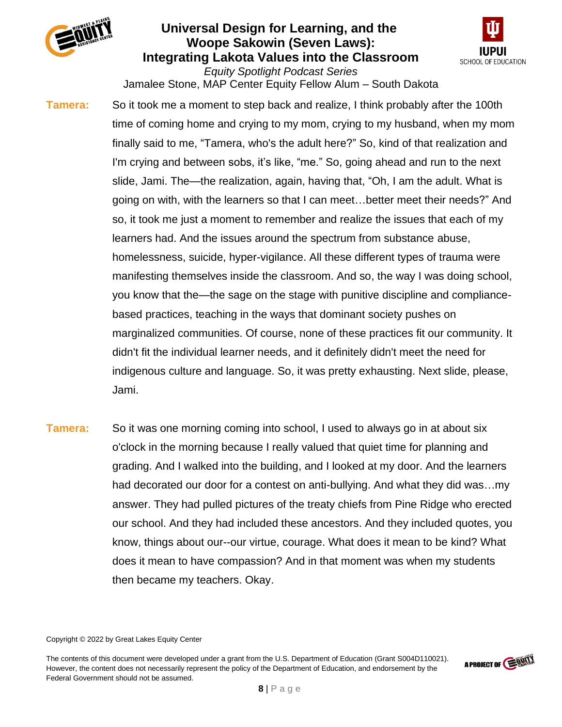



*Equity Spotlight Podcast Series* Jamalee Stone, MAP Center Equity Fellow Alum – South Dakota

**Tamera:** So it took me a moment to step back and realize, I think probably after the 100th time of coming home and crying to my mom, crying to my husband, when my mom finally said to me, "Tamera, who's the adult here?" So, kind of that realization and I'm crying and between sobs, it's like, "me." So, going ahead and run to the next slide, Jami. The—the realization, again, having that, "Oh, I am the adult. What is going on with, with the learners so that I can meet…better meet their needs?" And so, it took me just a moment to remember and realize the issues that each of my learners had. And the issues around the spectrum from substance abuse, homelessness, suicide, hyper-vigilance. All these different types of trauma were manifesting themselves inside the classroom. And so, the way I was doing school, you know that the—the sage on the stage with punitive discipline and compliancebased practices, teaching in the ways that dominant society pushes on marginalized communities. Of course, none of these practices fit our community. It didn't fit the individual learner needs, and it definitely didn't meet the need for indigenous culture and language. So, it was pretty exhausting. Next slide, please, Jami.

**Tamera:** So it was one morning coming into school, I used to always go in at about six o'clock in the morning because I really valued that quiet time for planning and grading. And I walked into the building, and I looked at my door. And the learners had decorated our door for a contest on anti-bullying. And what they did was…my answer. They had pulled pictures of the treaty chiefs from Pine Ridge who erected our school. And they had included these ancestors. And they included quotes, you know, things about our--our virtue, courage. What does it mean to be kind? What does it mean to have compassion? And in that moment was when my students then became my teachers. Okay.

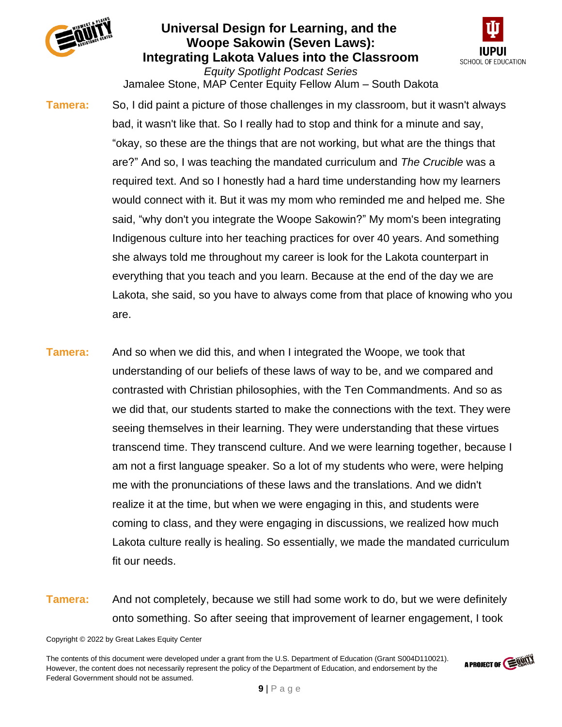



*Equity Spotlight Podcast Series* Jamalee Stone, MAP Center Equity Fellow Alum – South Dakota

**Tamera:** So, I did paint a picture of those challenges in my classroom, but it wasn't always bad, it wasn't like that. So I really had to stop and think for a minute and say, "okay, so these are the things that are not working, but what are the things that are?" And so, I was teaching the mandated curriculum and *The Crucible* was a required text. And so I honestly had a hard time understanding how my learners would connect with it. But it was my mom who reminded me and helped me. She said, "why don't you integrate the Woope Sakowin?" My mom's been integrating Indigenous culture into her teaching practices for over 40 years. And something she always told me throughout my career is look for the Lakota counterpart in everything that you teach and you learn. Because at the end of the day we are Lakota, she said, so you have to always come from that place of knowing who you are.

- **Tamera:** And so when we did this, and when I integrated the Woope, we took that understanding of our beliefs of these laws of way to be, and we compared and contrasted with Christian philosophies, with the Ten Commandments. And so as we did that, our students started to make the connections with the text. They were seeing themselves in their learning. They were understanding that these virtues transcend time. They transcend culture. And we were learning together, because I am not a first language speaker. So a lot of my students who were, were helping me with the pronunciations of these laws and the translations. And we didn't realize it at the time, but when we were engaging in this, and students were coming to class, and they were engaging in discussions, we realized how much Lakota culture really is healing. So essentially, we made the mandated curriculum fit our needs.
- **Tamera:** And not completely, because we still had some work to do, but we were definitely onto something. So after seeing that improvement of learner engagement, I took

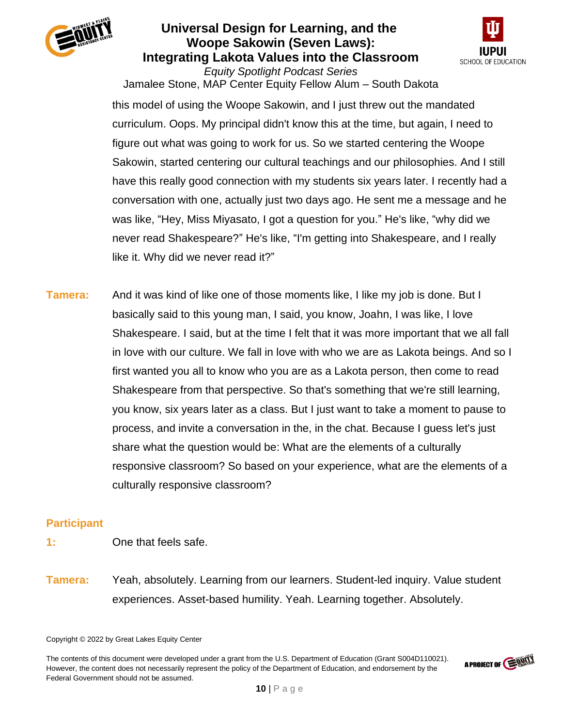



Jamalee Stone, MAP Center Equity Fellow Alum – South Dakota this model of using the Woope Sakowin, and I just threw out the mandated curriculum. Oops. My principal didn't know this at the time, but again, I need to figure out what was going to work for us. So we started centering the Woope Sakowin, started centering our cultural teachings and our philosophies. And I still have this really good connection with my students six years later. I recently had a conversation with one, actually just two days ago. He sent me a message and he was like, "Hey, Miss Miyasato, I got a question for you." He's like, "why did we never read Shakespeare?" He's like, "I'm getting into Shakespeare, and I really like it. Why did we never read it?"

**Tamera:** And it was kind of like one of those moments like, I like my job is done. But I basically said to this young man, I said, you know, Joahn, I was like, I love Shakespeare. I said, but at the time I felt that it was more important that we all fall in love with our culture. We fall in love with who we are as Lakota beings. And so I first wanted you all to know who you are as a Lakota person, then come to read Shakespeare from that perspective. So that's something that we're still learning, you know, six years later as a class. But I just want to take a moment to pause to process, and invite a conversation in the, in the chat. Because I guess let's just share what the question would be: What are the elements of a culturally responsive classroom? So based on your experience, what are the elements of a culturally responsive classroom?

### **Participant**

- **1:** One that feels safe.
- **Tamera:** Yeah, absolutely. Learning from our learners. Student-led inquiry. Value student experiences. Asset-based humility. Yeah. Learning together. Absolutely.

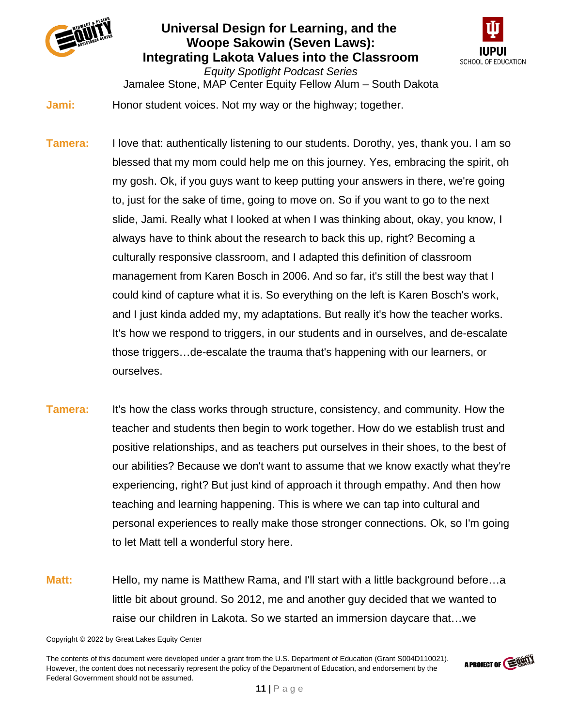



*Equity Spotlight Podcast Series* Jamalee Stone, MAP Center Equity Fellow Alum – South Dakota **Jami:** Honor student voices. Not my way or the highway; together.

- **Tamera:** I love that: authentically listening to our students. Dorothy, yes, thank you. I am so blessed that my mom could help me on this journey. Yes, embracing the spirit, oh my gosh. Ok, if you guys want to keep putting your answers in there, we're going to, just for the sake of time, going to move on. So if you want to go to the next slide, Jami. Really what I looked at when I was thinking about, okay, you know, I always have to think about the research to back this up, right? Becoming a culturally responsive classroom, and I adapted this definition of classroom management from Karen Bosch in 2006. And so far, it's still the best way that I could kind of capture what it is. So everything on the left is Karen Bosch's work, and I just kinda added my, my adaptations. But really it's how the teacher works. It's how we respond to triggers, in our students and in ourselves, and de-escalate those triggers…de-escalate the trauma that's happening with our learners, or ourselves.
- **Tamera:** It's how the class works through structure, consistency, and community. How the teacher and students then begin to work together. How do we establish trust and positive relationships, and as teachers put ourselves in their shoes, to the best of our abilities? Because we don't want to assume that we know exactly what they're experiencing, right? But just kind of approach it through empathy. And then how teaching and learning happening. This is where we can tap into cultural and personal experiences to really make those stronger connections. Ok, so I'm going to let Matt tell a wonderful story here.
- **Matt:** Hello, my name is Matthew Rama, and I'll start with a little background before...a little bit about ground. So 2012, me and another guy decided that we wanted to raise our children in Lakota. So we started an immersion daycare that…we

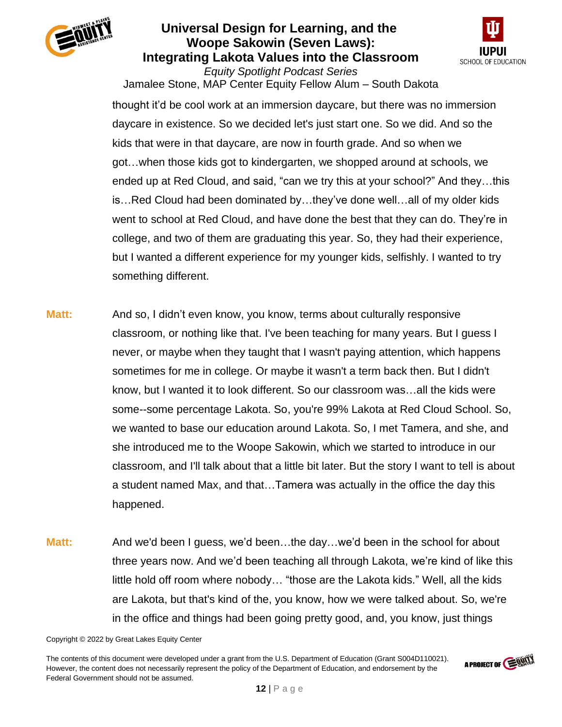



Jamalee Stone, MAP Center Equity Fellow Alum – South Dakota thought it'd be cool work at an immersion daycare, but there was no immersion daycare in existence. So we decided let's just start one. So we did. And so the kids that were in that daycare, are now in fourth grade. And so when we got…when those kids got to kindergarten, we shopped around at schools, we ended up at Red Cloud, and said, "can we try this at your school?" And they…this is…Red Cloud had been dominated by…they've done well…all of my older kids went to school at Red Cloud, and have done the best that they can do. They're in college, and two of them are graduating this year. So, they had their experience, but I wanted a different experience for my younger kids, selfishly. I wanted to try something different.

- **Matt:** And so, I didn't even know, you know, terms about culturally responsive classroom, or nothing like that. I've been teaching for many years. But I guess I never, or maybe when they taught that I wasn't paying attention, which happens sometimes for me in college. Or maybe it wasn't a term back then. But I didn't know, but I wanted it to look different. So our classroom was…all the kids were some--some percentage Lakota. So, you're 99% Lakota at Red Cloud School. So, we wanted to base our education around Lakota. So, I met Tamera, and she, and she introduced me to the Woope Sakowin, which we started to introduce in our classroom, and I'll talk about that a little bit later. But the story I want to tell is about a student named Max, and that…Tamera was actually in the office the day this happened.
- **Matt:** And we'd been I guess, we'd been…the day…we'd been in the school for about three years now. And we'd been teaching all through Lakota, we're kind of like this little hold off room where nobody… "those are the Lakota kids." Well, all the kids are Lakota, but that's kind of the, you know, how we were talked about. So, we're in the office and things had been going pretty good, and, you know, just things

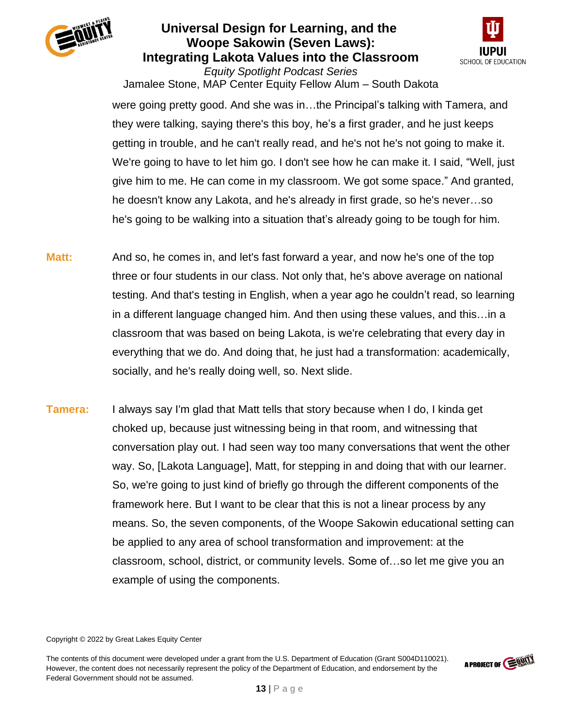



Jamalee Stone, MAP Center Equity Fellow Alum – South Dakota were going pretty good. And she was in…the Principal's talking with Tamera, and they were talking, saying there's this boy, he's a first grader, and he just keeps getting in trouble, and he can't really read, and he's not he's not going to make it. We're going to have to let him go. I don't see how he can make it. I said, "Well, just give him to me. He can come in my classroom. We got some space." And granted, he doesn't know any Lakota, and he's already in first grade, so he's never…so he's going to be walking into a situation that's already going to be tough for him.

- **Matt:** And so, he comes in, and let's fast forward a year, and now he's one of the top three or four students in our class. Not only that, he's above average on national testing. And that's testing in English, when a year ago he couldn't read, so learning in a different language changed him. And then using these values, and this…in a classroom that was based on being Lakota, is we're celebrating that every day in everything that we do. And doing that, he just had a transformation: academically, socially, and he's really doing well, so. Next slide.
- **Tamera:** I always say I'm glad that Matt tells that story because when I do, I kinda get choked up, because just witnessing being in that room, and witnessing that conversation play out. I had seen way too many conversations that went the other way. So, [Lakota Language], Matt, for stepping in and doing that with our learner. So, we're going to just kind of briefly go through the different components of the framework here. But I want to be clear that this is not a linear process by any means. So, the seven components, of the Woope Sakowin educational setting can be applied to any area of school transformation and improvement: at the classroom, school, district, or community levels. Some of…so let me give you an example of using the components.

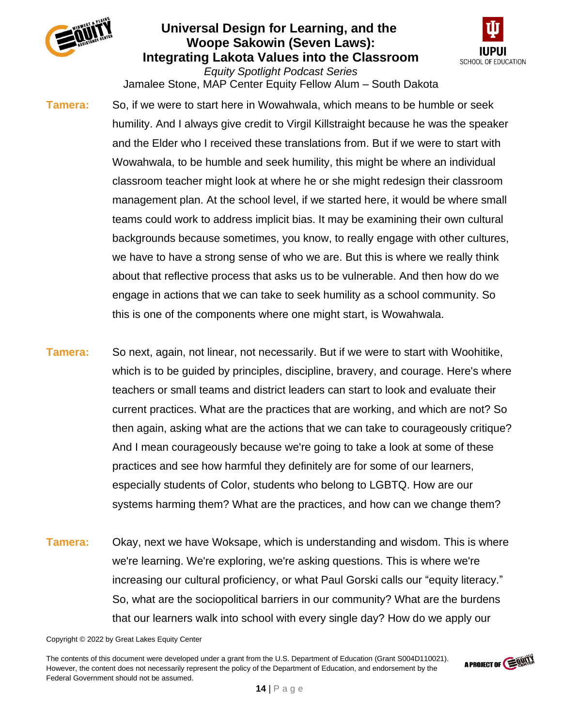



*Equity Spotlight Podcast Series* Jamalee Stone, MAP Center Equity Fellow Alum – South Dakota

**Tamera:** So, if we were to start here in Wowahwala, which means to be humble or seek humility. And I always give credit to Virgil Killstraight because he was the speaker and the Elder who I received these translations from. But if we were to start with Wowahwala, to be humble and seek humility, this might be where an individual classroom teacher might look at where he or she might redesign their classroom management plan. At the school level, if we started here, it would be where small teams could work to address implicit bias. It may be examining their own cultural backgrounds because sometimes, you know, to really engage with other cultures, we have to have a strong sense of who we are. But this is where we really think about that reflective process that asks us to be vulnerable. And then how do we engage in actions that we can take to seek humility as a school community. So this is one of the components where one might start, is Wowahwala.

- **Tamera:** So next, again, not linear, not necessarily. But if we were to start with Woohitike, which is to be guided by principles, discipline, bravery, and courage. Here's where teachers or small teams and district leaders can start to look and evaluate their current practices. What are the practices that are working, and which are not? So then again, asking what are the actions that we can take to courageously critique? And I mean courageously because we're going to take a look at some of these practices and see how harmful they definitely are for some of our learners, especially students of Color, students who belong to LGBTQ. How are our systems harming them? What are the practices, and how can we change them?
- **Tamera:** Okay, next we have Woksape, which is understanding and wisdom. This is where we're learning. We're exploring, we're asking questions. This is where we're increasing our cultural proficiency, or what Paul Gorski calls our "equity literacy." So, what are the sociopolitical barriers in our community? What are the burdens that our learners walk into school with every single day? How do we apply our

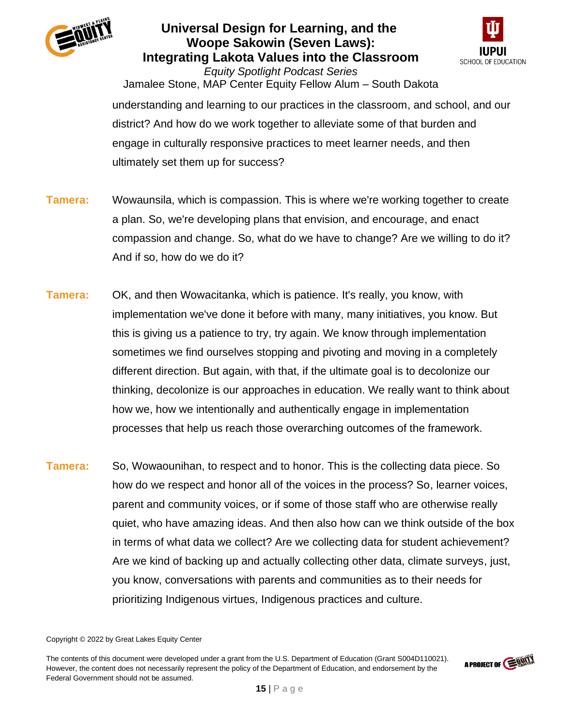



*Equity Spotlight Podcast Series* Jamalee Stone, MAP Center Equity Fellow Alum – South Dakota understanding and learning to our practices in the classroom, and school, and our district? And how do we work together to alleviate some of that burden and engage in culturally responsive practices to meet learner needs, and then ultimately set them up for success?

- **Tamera:** Wowaunsila, which is compassion. This is where we're working together to create a plan. So, we're developing plans that envision, and encourage, and enact compassion and change. So, what do we have to change? Are we willing to do it? And if so, how do we do it?
- **Tamera:** OK, and then Wowacitanka, which is patience. It's really, you know, with implementation we've done it before with many, many initiatives, you know. But this is giving us a patience to try, try again. We know through implementation sometimes we find ourselves stopping and pivoting and moving in a completely different direction. But again, with that, if the ultimate goal is to decolonize our thinking, decolonize is our approaches in education. We really want to think about how we, how we intentionally and authentically engage in implementation processes that help us reach those overarching outcomes of the framework.
- **Tamera:** So, Wowaounihan, to respect and to honor. This is the collecting data piece. So how do we respect and honor all of the voices in the process? So, learner voices, parent and community voices, or if some of those staff who are otherwise really quiet, who have amazing ideas. And then also how can we think outside of the box in terms of what data we collect? Are we collecting data for student achievement? Are we kind of backing up and actually collecting other data, climate surveys, just, you know, conversations with parents and communities as to their needs for prioritizing Indigenous virtues, Indigenous practices and culture.

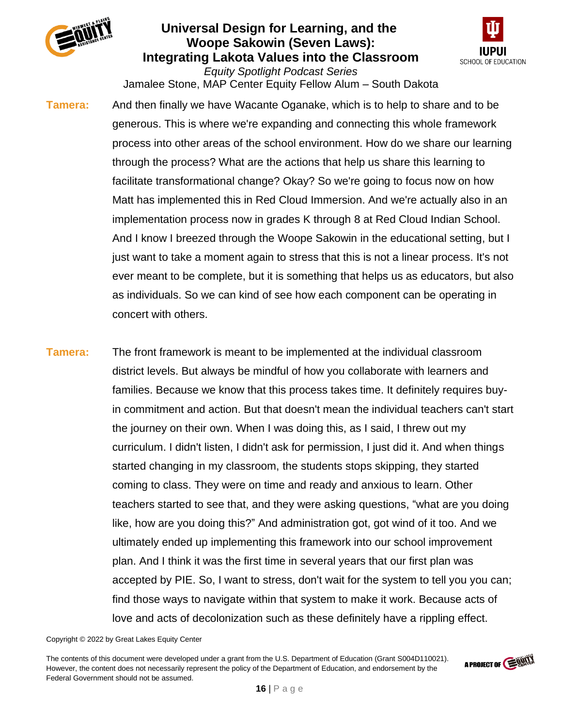



*Equity Spotlight Podcast Series* Jamalee Stone, MAP Center Equity Fellow Alum – South Dakota

**Tamera:** And then finally we have Wacante Oganake, which is to help to share and to be generous. This is where we're expanding and connecting this whole framework process into other areas of the school environment. How do we share our learning through the process? What are the actions that help us share this learning to facilitate transformational change? Okay? So we're going to focus now on how Matt has implemented this in Red Cloud Immersion. And we're actually also in an implementation process now in grades K through 8 at Red Cloud Indian School. And I know I breezed through the Woope Sakowin in the educational setting, but I just want to take a moment again to stress that this is not a linear process. It's not ever meant to be complete, but it is something that helps us as educators, but also as individuals. So we can kind of see how each component can be operating in concert with others.

**Tamera:** The front framework is meant to be implemented at the individual classroom district levels. But always be mindful of how you collaborate with learners and families. Because we know that this process takes time. It definitely requires buyin commitment and action. But that doesn't mean the individual teachers can't start the journey on their own. When I was doing this, as I said, I threw out my curriculum. I didn't listen, I didn't ask for permission, I just did it. And when things started changing in my classroom, the students stops skipping, they started coming to class. They were on time and ready and anxious to learn. Other teachers started to see that, and they were asking questions, "what are you doing like, how are you doing this?" And administration got, got wind of it too. And we ultimately ended up implementing this framework into our school improvement plan. And I think it was the first time in several years that our first plan was accepted by PIE. So, I want to stress, don't wait for the system to tell you you can; find those ways to navigate within that system to make it work. Because acts of love and acts of decolonization such as these definitely have a rippling effect.

#### Copyright © 2022 by Great Lakes Equity Center

The contents of this document were developed under a grant from the U.S. Department of Education (Grant S004D110021). However, the content does not necessarily represent the policy of the Department of Education, and endorsement by the Federal Government should not be assumed.

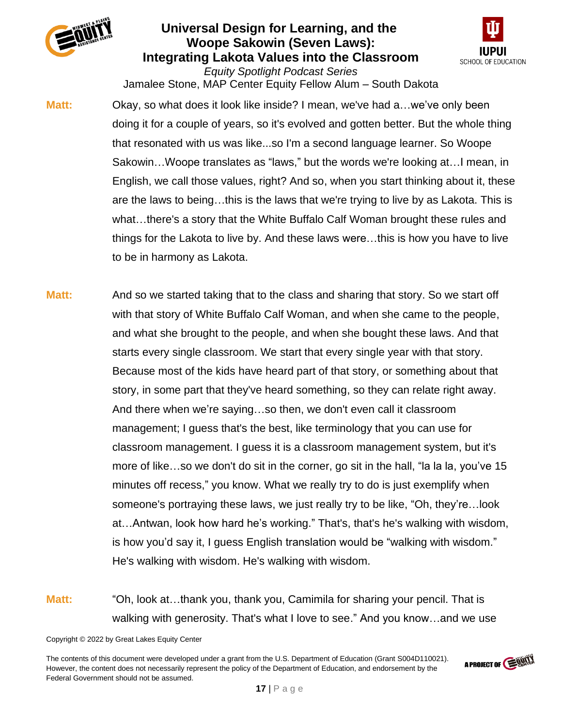



*Equity Spotlight Podcast Series* Jamalee Stone, MAP Center Equity Fellow Alum – South Dakota

**Matt:** Okay, so what does it look like inside? I mean, we've had a…we've only been doing it for a couple of years, so it's evolved and gotten better. But the whole thing that resonated with us was like...so I'm a second language learner. So Woope Sakowin…Woope translates as "laws," but the words we're looking at…I mean, in English, we call those values, right? And so, when you start thinking about it, these are the laws to being…this is the laws that we're trying to live by as Lakota. This is what…there's a story that the White Buffalo Calf Woman brought these rules and things for the Lakota to live by. And these laws were…this is how you have to live to be in harmony as Lakota.

- **Matt:** And so we started taking that to the class and sharing that story. So we start off with that story of White Buffalo Calf Woman, and when she came to the people, and what she brought to the people, and when she bought these laws. And that starts every single classroom. We start that every single year with that story. Because most of the kids have heard part of that story, or something about that story, in some part that they've heard something, so they can relate right away. And there when we're saying…so then, we don't even call it classroom management; I guess that's the best, like terminology that you can use for classroom management. I guess it is a classroom management system, but it's more of like…so we don't do sit in the corner, go sit in the hall, "la la la, you've 15 minutes off recess," you know. What we really try to do is just exemplify when someone's portraying these laws, we just really try to be like, "Oh, they're…look at…Antwan, look how hard he's working." That's, that's he's walking with wisdom, is how you'd say it, I guess English translation would be "walking with wisdom." He's walking with wisdom. He's walking with wisdom.
- **Matt:** "Oh, look at…thank you, thank you, Camimila for sharing your pencil. That is walking with generosity. That's what I love to see." And you know…and we use

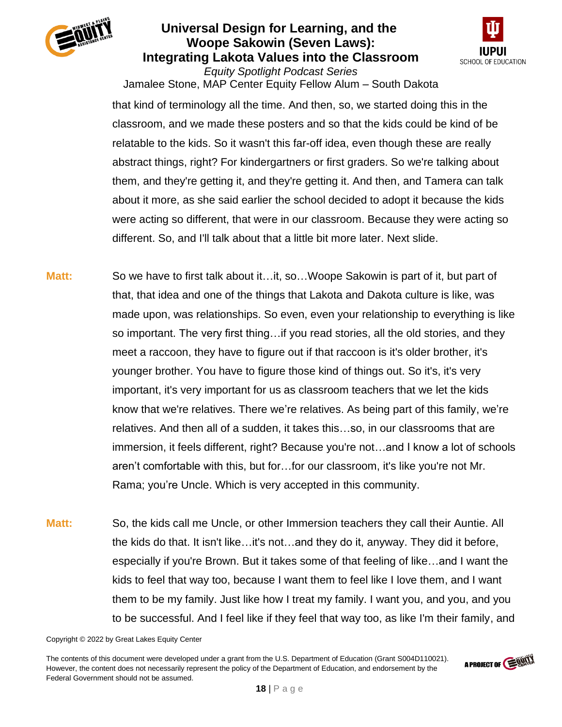



*Equity Spotlight Podcast Series* Jamalee Stone, MAP Center Equity Fellow Alum – South Dakota that kind of terminology all the time. And then, so, we started doing this in the

classroom, and we made these posters and so that the kids could be kind of be relatable to the kids. So it wasn't this far-off idea, even though these are really abstract things, right? For kindergartners or first graders. So we're talking about them, and they're getting it, and they're getting it. And then, and Tamera can talk about it more, as she said earlier the school decided to adopt it because the kids were acting so different, that were in our classroom. Because they were acting so different. So, and I'll talk about that a little bit more later. Next slide.

- **Matt:** So we have to first talk about it…it, so…Woope Sakowin is part of it, but part of that, that idea and one of the things that Lakota and Dakota culture is like, was made upon, was relationships. So even, even your relationship to everything is like so important. The very first thing…if you read stories, all the old stories, and they meet a raccoon, they have to figure out if that raccoon is it's older brother, it's younger brother. You have to figure those kind of things out. So it's, it's very important, it's very important for us as classroom teachers that we let the kids know that we're relatives. There we're relatives. As being part of this family, we're relatives. And then all of a sudden, it takes this…so, in our classrooms that are immersion, it feels different, right? Because you're not…and I know a lot of schools aren't comfortable with this, but for…for our classroom, it's like you're not Mr. Rama; you're Uncle. Which is very accepted in this community.
- **Matt:** So, the kids call me Uncle, or other Immersion teachers they call their Auntie. All the kids do that. It isn't like…it's not…and they do it, anyway. They did it before, especially if you're Brown. But it takes some of that feeling of like…and I want the kids to feel that way too, because I want them to feel like I love them, and I want them to be my family. Just like how I treat my family. I want you, and you, and you to be successful. And I feel like if they feel that way too, as like I'm their family, and

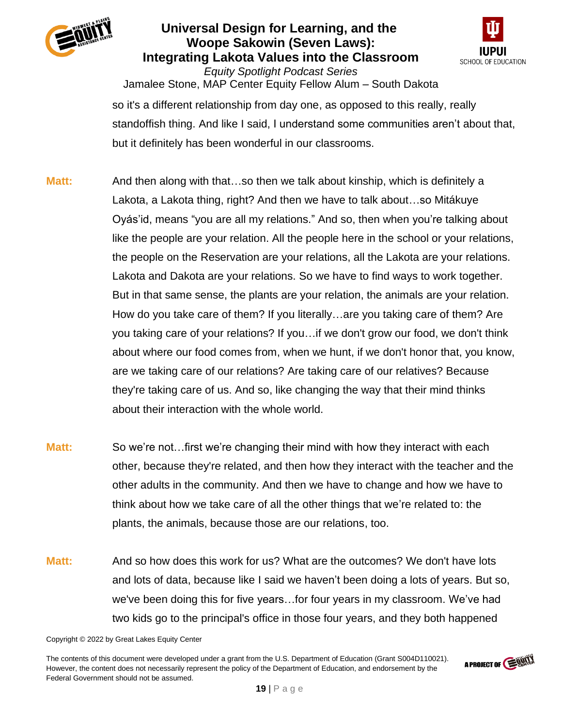



*Equity Spotlight Podcast Series* Jamalee Stone, MAP Center Equity Fellow Alum – South Dakota so it's a different relationship from day one, as opposed to this really, really standoffish thing. And like I said, I understand some communities aren't about that, but it definitely has been wonderful in our classrooms.

- **Matt:** And then along with that…so then we talk about kinship, which is definitely a Lakota, a Lakota thing, right? And then we have to talk about…so Mitákuye Oyás'id, means "you are all my relations." And so, then when you're talking about like the people are your relation. All the people here in the school or your relations, the people on the Reservation are your relations, all the Lakota are your relations. Lakota and Dakota are your relations. So we have to find ways to work together. But in that same sense, the plants are your relation, the animals are your relation. How do you take care of them? If you literally…are you taking care of them? Are you taking care of your relations? If you…if we don't grow our food, we don't think about where our food comes from, when we hunt, if we don't honor that, you know, are we taking care of our relations? Are taking care of our relatives? Because they're taking care of us. And so, like changing the way that their mind thinks about their interaction with the whole world.
- **Matt:** So we're not…first we're changing their mind with how they interact with each other, because they're related, and then how they interact with the teacher and the other adults in the community. And then we have to change and how we have to think about how we take care of all the other things that we're related to: the plants, the animals, because those are our relations, too.
- **Matt:** And so how does this work for us? What are the outcomes? We don't have lots and lots of data, because like I said we haven't been doing a lots of years. But so, we've been doing this for five years…for four years in my classroom. We've had two kids go to the principal's office in those four years, and they both happened

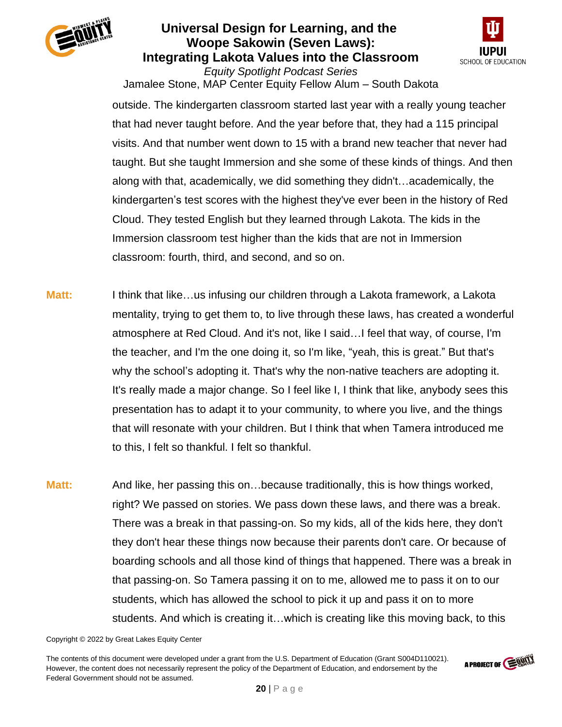



*Equity Spotlight Podcast Series* Jamalee Stone, MAP Center Equity Fellow Alum – South Dakota

outside. The kindergarten classroom started last year with a really young teacher that had never taught before. And the year before that, they had a 115 principal visits. And that number went down to 15 with a brand new teacher that never had taught. But she taught Immersion and she some of these kinds of things. And then along with that, academically, we did something they didn't…academically, the kindergarten's test scores with the highest they've ever been in the history of Red Cloud. They tested English but they learned through Lakota. The kids in the Immersion classroom test higher than the kids that are not in Immersion classroom: fourth, third, and second, and so on.

**Matt:** I think that like…us infusing our children through a Lakota framework, a Lakota mentality, trying to get them to, to live through these laws, has created a wonderful atmosphere at Red Cloud. And it's not, like I said…I feel that way, of course, I'm the teacher, and I'm the one doing it, so I'm like, "yeah, this is great." But that's why the school's adopting it. That's why the non-native teachers are adopting it. It's really made a major change. So I feel like I, I think that like, anybody sees this presentation has to adapt it to your community, to where you live, and the things that will resonate with your children. But I think that when Tamera introduced me to this, I felt so thankful. I felt so thankful.

**Matt:** And like, her passing this on…because traditionally, this is how things worked, right? We passed on stories. We pass down these laws, and there was a break. There was a break in that passing-on. So my kids, all of the kids here, they don't they don't hear these things now because their parents don't care. Or because of boarding schools and all those kind of things that happened. There was a break in that passing-on. So Tamera passing it on to me, allowed me to pass it on to our students, which has allowed the school to pick it up and pass it on to more students. And which is creating it…which is creating like this moving back, to this

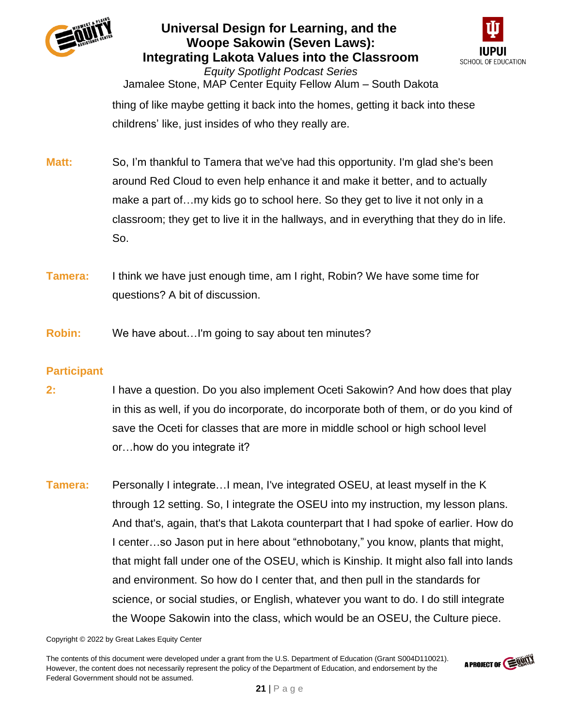



*Equity Spotlight Podcast Series* Jamalee Stone, MAP Center Equity Fellow Alum – South Dakota thing of like maybe getting it back into the homes, getting it back into these childrens' like, just insides of who they really are.

- **Matt:** So, I'm thankful to Tamera that we've had this opportunity. I'm glad she's been around Red Cloud to even help enhance it and make it better, and to actually make a part of…my kids go to school here. So they get to live it not only in a classroom; they get to live it in the hallways, and in everything that they do in life. So.
- **Tamera:** I think we have just enough time, am I right, Robin? We have some time for questions? A bit of discussion.
- **Robin:** We have about…I'm going to say about ten minutes?

### **Participant**

- **2:** I have a question. Do you also implement Oceti Sakowin? And how does that play in this as well, if you do incorporate, do incorporate both of them, or do you kind of save the Oceti for classes that are more in middle school or high school level or…how do you integrate it?
- **Tamera:** Personally I integrate...I mean, I've integrated OSEU, at least myself in the K through 12 setting. So, I integrate the OSEU into my instruction, my lesson plans. And that's, again, that's that Lakota counterpart that I had spoke of earlier. How do I center…so Jason put in here about "ethnobotany," you know, plants that might, that might fall under one of the OSEU, which is Kinship. It might also fall into lands and environment. So how do I center that, and then pull in the standards for science, or social studies, or English, whatever you want to do. I do still integrate the Woope Sakowin into the class, which would be an OSEU, the Culture piece.

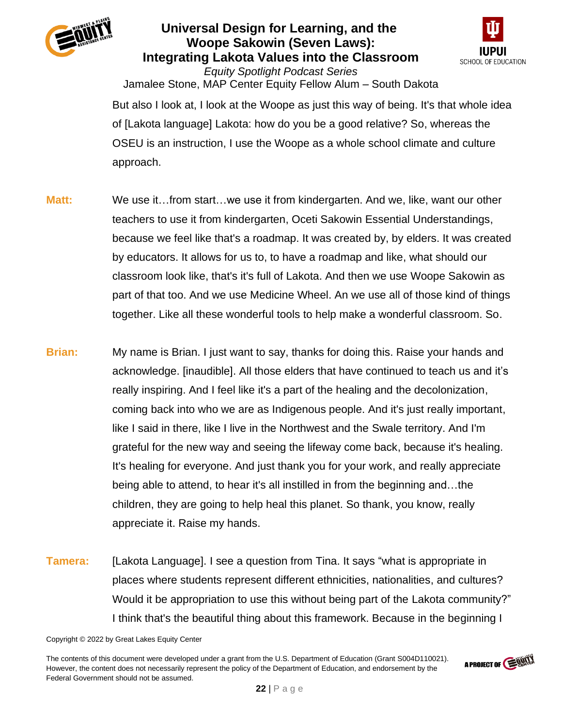



*Equity Spotlight Podcast Series* Jamalee Stone, MAP Center Equity Fellow Alum – South Dakota But also I look at, I look at the Woope as just this way of being. It's that whole idea of [Lakota language] Lakota: how do you be a good relative? So, whereas the OSEU is an instruction, I use the Woope as a whole school climate and culture approach.

- **Matt:** We use it...from start...we use it from kindergarten. And we, like, want our other teachers to use it from kindergarten, Oceti Sakowin Essential Understandings, because we feel like that's a roadmap. It was created by, by elders. It was created by educators. It allows for us to, to have a roadmap and like, what should our classroom look like, that's it's full of Lakota. And then we use Woope Sakowin as part of that too. And we use Medicine Wheel. An we use all of those kind of things together. Like all these wonderful tools to help make a wonderful classroom. So.
- **Brian:** My name is Brian. I just want to say, thanks for doing this. Raise your hands and acknowledge. [inaudible]. All those elders that have continued to teach us and it's really inspiring. And I feel like it's a part of the healing and the decolonization, coming back into who we are as Indigenous people. And it's just really important, like I said in there, like I live in the Northwest and the Swale territory. And I'm grateful for the new way and seeing the lifeway come back, because it's healing. It's healing for everyone. And just thank you for your work, and really appreciate being able to attend, to hear it's all instilled in from the beginning and…the children, they are going to help heal this planet. So thank, you know, really appreciate it. Raise my hands.
- **Tamera:** [Lakota Language]. I see a question from Tina. It says "what is appropriate in places where students represent different ethnicities, nationalities, and cultures? Would it be appropriation to use this without being part of the Lakota community?" I think that's the beautiful thing about this framework. Because in the beginning I

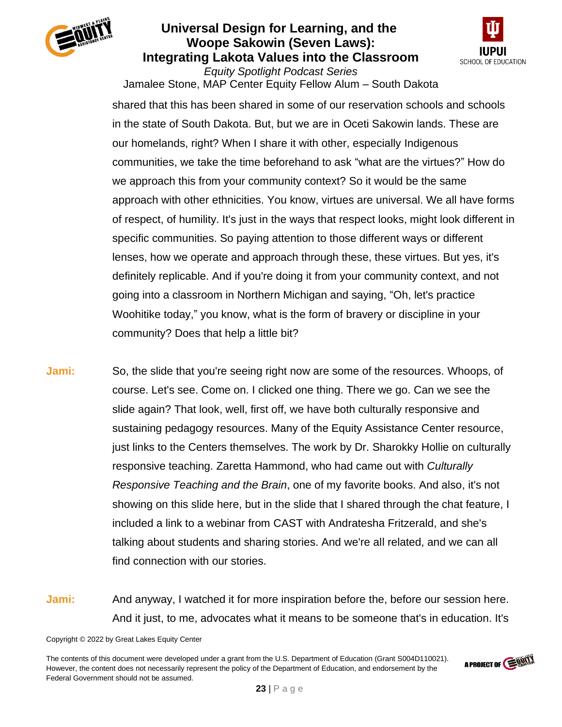



*Equity Spotlight Podcast Series* Jamalee Stone, MAP Center Equity Fellow Alum – South Dakota

shared that this has been shared in some of our reservation schools and schools in the state of South Dakota. But, but we are in Oceti Sakowin lands. These are our homelands, right? When I share it with other, especially Indigenous communities, we take the time beforehand to ask "what are the virtues?" How do we approach this from your community context? So it would be the same approach with other ethnicities. You know, virtues are universal. We all have forms of respect, of humility. It's just in the ways that respect looks, might look different in specific communities. So paying attention to those different ways or different lenses, how we operate and approach through these, these virtues. But yes, it's definitely replicable. And if you're doing it from your community context, and not going into a classroom in Northern Michigan and saying, "Oh, let's practice Woohitike today," you know, what is the form of bravery or discipline in your community? Does that help a little bit?

- **Jami:** So, the slide that you're seeing right now are some of the resources. Whoops, of course. Let's see. Come on. I clicked one thing. There we go. Can we see the slide again? That look, well, first off, we have both culturally responsive and sustaining pedagogy resources. Many of the Equity Assistance Center resource, just links to the Centers themselves. The work by Dr. Sharokky Hollie on culturally responsive teaching. Zaretta Hammond, who had came out with *Culturally Responsive Teaching and the Brain*, one of my favorite books. And also, it's not showing on this slide here, but in the slide that I shared through the chat feature, I included a link to a webinar from CAST with Andratesha Fritzerald, and she's talking about students and sharing stories. And we're all related, and we can all find connection with our stories.
- **Jami:** And anyway, I watched it for more inspiration before the, before our session here. And it just, to me, advocates what it means to be someone that's in education. It's

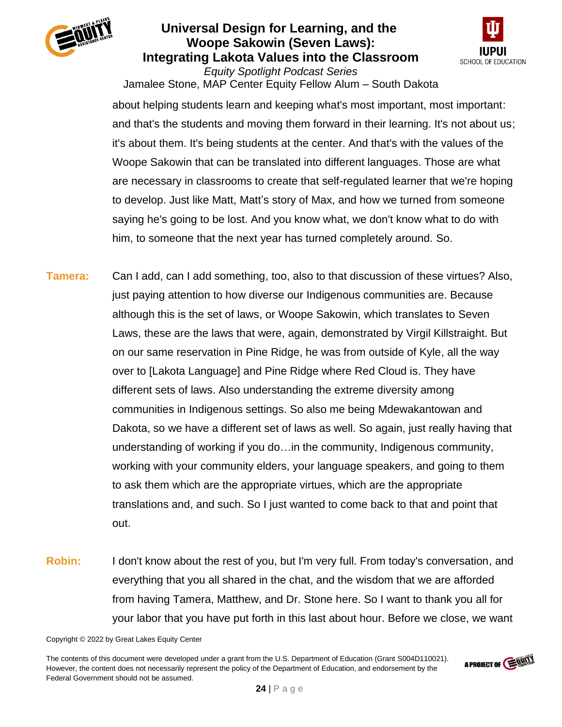



Jamalee Stone, MAP Center Equity Fellow Alum – South Dakota about helping students learn and keeping what's most important, most important: and that's the students and moving them forward in their learning. It's not about us; it's about them. It's being students at the center. And that's with the values of the Woope Sakowin that can be translated into different languages. Those are what are necessary in classrooms to create that self-regulated learner that we're hoping to develop. Just like Matt, Matt's story of Max, and how we turned from someone saying he's going to be lost. And you know what, we don't know what to do with him, to someone that the next year has turned completely around. So.

- **Tamera:** Can I add, can I add something, too, also to that discussion of these virtues? Also, just paying attention to how diverse our Indigenous communities are. Because although this is the set of laws, or Woope Sakowin, which translates to Seven Laws, these are the laws that were, again, demonstrated by Virgil Killstraight. But on our same reservation in Pine Ridge, he was from outside of Kyle, all the way over to [Lakota Language] and Pine Ridge where Red Cloud is. They have different sets of laws. Also understanding the extreme diversity among communities in Indigenous settings. So also me being Mdewakantowan and Dakota, so we have a different set of laws as well. So again, just really having that understanding of working if you do…in the community, Indigenous community, working with your community elders, your language speakers, and going to them to ask them which are the appropriate virtues, which are the appropriate translations and, and such. So I just wanted to come back to that and point that out.
- **Robin:** I don't know about the rest of you, but I'm very full. From today's conversation, and everything that you all shared in the chat, and the wisdom that we are afforded from having Tamera, Matthew, and Dr. Stone here. So I want to thank you all for your labor that you have put forth in this last about hour. Before we close, we want

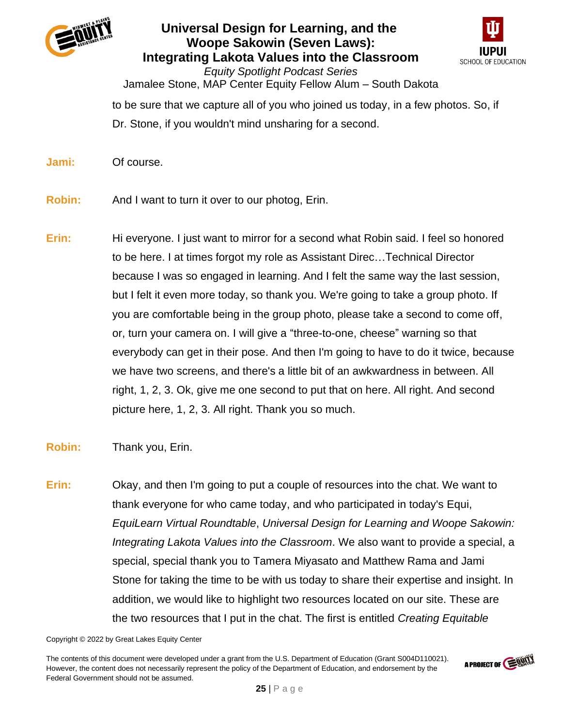



*Equity Spotlight Podcast Series* Jamalee Stone, MAP Center Equity Fellow Alum – South Dakota to be sure that we capture all of you who joined us today, in a few photos. So, if Dr. Stone, if you wouldn't mind unsharing for a second.

**Jami:** Of course.

**Robin:** And I want to turn it over to our photog, Erin.

**Erin:** Hi everyone. I just want to mirror for a second what Robin said. I feel so honored to be here. I at times forgot my role as Assistant Direc…Technical Director because I was so engaged in learning. And I felt the same way the last session, but I felt it even more today, so thank you. We're going to take a group photo. If you are comfortable being in the group photo, please take a second to come off, or, turn your camera on. I will give a "three-to-one, cheese" warning so that everybody can get in their pose. And then I'm going to have to do it twice, because we have two screens, and there's a little bit of an awkwardness in between. All right, 1, 2, 3. Ok, give me one second to put that on here. All right. And second picture here, 1, 2, 3. All right. Thank you so much.

### **Robin:** Thank you, Erin.

**Erin:** Okay, and then I'm going to put a couple of resources into the chat. We want to thank everyone for who came today, and who participated in today's Equi, *EquiLearn Virtual Roundtable*, *Universal Design for Learning and Woope Sakowin: Integrating Lakota Values into the Classroom*. We also want to provide a special, a special, special thank you to Tamera Miyasato and Matthew Rama and Jami Stone for taking the time to be with us today to share their expertise and insight. In addition, we would like to highlight two resources located on our site. These are the two resources that I put in the chat. The first is entitled *Creating Equitable*

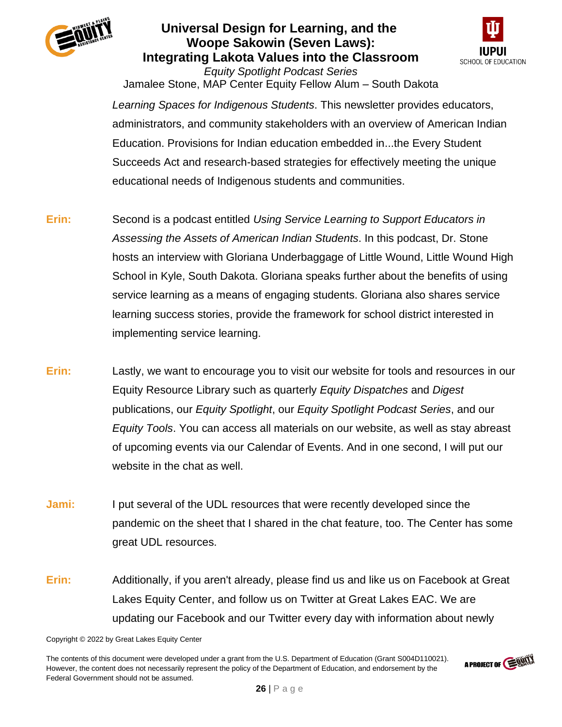



Jamalee Stone, MAP Center Equity Fellow Alum – South Dakota *Learning Spaces for Indigenous Students*. This newsletter provides educators, administrators, and community stakeholders with an overview of American Indian Education. Provisions for Indian education embedded in...the Every Student Succeeds Act and research-based strategies for effectively meeting the unique educational needs of Indigenous students and communities.

- **Erin:** Second is a podcast entitled *Using Service Learning to Support Educators in Assessing the Assets of American Indian Students*. In this podcast, Dr. Stone hosts an interview with Gloriana Underbaggage of Little Wound, Little Wound High School in Kyle, South Dakota. Gloriana speaks further about the benefits of using service learning as a means of engaging students. Gloriana also shares service learning success stories, provide the framework for school district interested in implementing service learning.
- **Erin:** Lastly, we want to encourage you to visit our website for tools and resources in our Equity Resource Library such as quarterly *Equity Dispatches* and *Digest* publications, our *Equity Spotlight*, our *Equity Spotlight Podcast Series*, and our *Equity Tools*. You can access all materials on our website, as well as stay abreast of upcoming events via our Calendar of Events. And in one second, I will put our website in the chat as well.
- **Jami:** I put several of the UDL resources that were recently developed since the pandemic on the sheet that I shared in the chat feature, too. The Center has some great UDL resources.
- **Erin:** Additionally, if you aren't already, please find us and like us on Facebook at Great Lakes Equity Center, and follow us on Twitter at Great Lakes EAC. We are updating our Facebook and our Twitter every day with information about newly